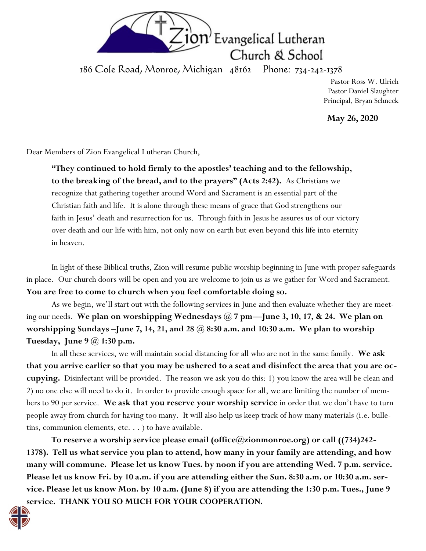

186 Cole Road, Monroe, Michigan 48162 Phone: 734-242-1378

Pastor Ross W. Ulrich Pastor Daniel Slaughter Principal, Bryan Schneck

**May 26, 2020**

Dear Members of Zion Evangelical Lutheran Church,

**"They continued to hold firmly to the apostles' teaching and to the fellowship, to the breaking of the bread, and to the prayers" (Acts 2:42).** As Christians we recognize that gathering together around Word and Sacrament is an essential part of the Christian faith and life. It is alone through these means of grace that God strengthens our faith in Jesus' death and resurrection for us. Through faith in Jesus he assures us of our victory over death and our life with him, not only now on earth but even beyond this life into eternity in heaven.

In light of these Biblical truths, Zion will resume public worship beginning in June with proper safeguards in place. Our church doors will be open and you are welcome to join us as we gather for Word and Sacrament. **You are free to come to church when you feel comfortable doing so.**

As we begin, we'll start out with the following services in June and then evaluate whether they are meeting our needs. **We plan on worshipping Wednesdays @ 7 pm—June 3, 10, 17, & 24. We plan on worshipping Sundays –June 7, 14, 21, and 28 @ 8:30 a.m. and 10:30 a.m. We plan to worship Tuesday, June 9 @ 1:30 p.m.**

In all these services, we will maintain social distancing for all who are not in the same family. **We ask that you arrive earlier so that you may be ushered to a seat and disinfect the area that you are occupying.** Disinfectant will be provided. The reason we ask you do this: 1) you know the area will be clean and 2) no one else will need to do it. In order to provide enough space for all, we are limiting the number of members to 90 per service. **We ask that you reserve your worship service** in order that we don't have to turn people away from church for having too many. It will also help us keep track of how many materials (i.e. bulletins, communion elements, etc. . . ) to have available.

**To reserve a worship service please email (office@zionmonroe.org) or call ((734)242- 1378). Tell us what service you plan to attend, how many in your family are attending, and how many will commune. Please let us know Tues. by noon if you are attending Wed. 7 p.m. service. Please let us know Fri. by 10 a.m. if you are attending either the Sun. 8:30 a.m. or 10:30 a.m. service. Please let us know Mon. by 10 a.m. (June 8) if you are attending the 1:30 p.m. Tues., June 9 service. THANK YOU SO MUCH FOR YOUR COOPERATION.**